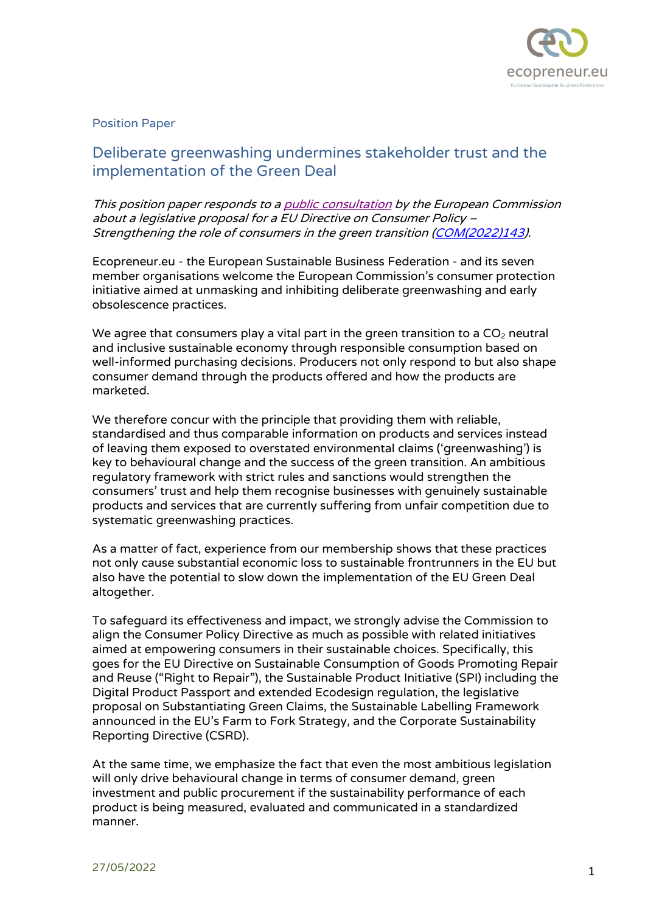

## Position Paper

## Deliberate greenwashing undermines stakeholder trust and the implementation of the Green Deal

This position paper responds to [a public consultation](https://ec.europa.eu/info/law/better-regulation/have-your-say/initiatives/12467-Consumer-policy-strengthening-the-role-of-consumers-in-the-green-transition_en) by the European Commission about a legislative proposal for a EU Directive on Consumer Policy – Strengthening the role of consumers in the green transition [\(COM\(2022\)143\)](https://ec.europa.eu/info/sites/default/files/1_1_186774_prop_em_co_en.pdf).

Ecopreneur.eu - the European Sustainable Business Federation - and its seven member organisations welcome the European Commission's consumer protection initiative aimed at unmasking and inhibiting deliberate greenwashing and early obsolescence practices.

We agree that consumers play a vital part in the green transition to a  $CO<sub>2</sub>$  neutral and inclusive sustainable economy through responsible consumption based on well-informed purchasing decisions. Producers not only respond to but also shape consumer demand through the products offered and how the products are marketed.

We therefore concur with the principle that providing them with reliable, standardised and thus comparable information on products and services instead of leaving them exposed to overstated environmental claims ('greenwashing') is key to behavioural change and the success of the green transition. An ambitious regulatory framework with strict rules and sanctions would strengthen the consumers' trust and help them recognise businesses with genuinely sustainable products and services that are currently suffering from unfair competition due to systematic greenwashing practices.

As a matter of fact, experience from our membership shows that these practices not only cause substantial economic loss to sustainable frontrunners in the EU but also have the potential to slow down the implementation of the EU Green Deal altogether.

To safeguard its effectiveness and impact, we strongly advise the Commission to align the Consumer Policy Directive as much as possible with related initiatives aimed at empowering consumers in their sustainable choices. Specifically, this goes for the EU Directive on Sustainable Consumption of Goods Promoting Repair and Reuse ("Right to Repair"), the Sustainable Product Initiative (SPI) including the Digital Product Passport and extended Ecodesign regulation, the legislative proposal on Substantiating Green Claims, the Sustainable Labelling Framework announced in the EU's Farm to Fork Strategy, and the Corporate Sustainability Reporting Directive (CSRD).

At the same time, we emphasize the fact that even the most ambitious legislation will only drive behavioural change in terms of consumer demand, green investment and public procurement if the sustainability performance of each product is being measured, evaluated and communicated in a standardized manner.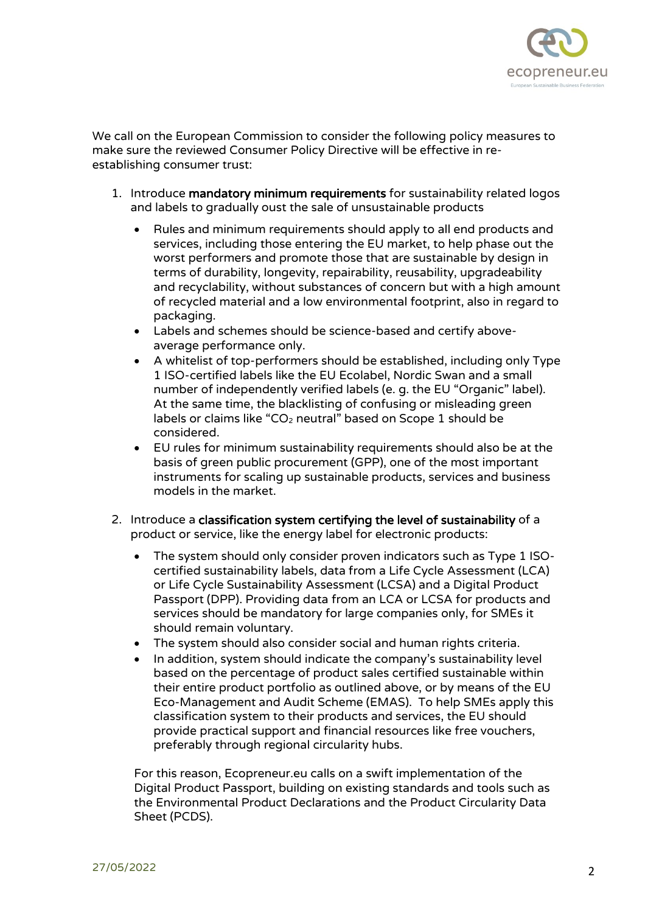

We call on the European Commission to consider the following policy measures to make sure the reviewed Consumer Policy Directive will be effective in reestablishing consumer trust:

- 1. Introduce mandatory minimum requirements for sustainability related logos and labels to gradually oust the sale of unsustainable products
	- Rules and minimum requirements should apply to all end products and services, including those entering the EU market, to help phase out the worst performers and promote those that are sustainable by design in terms of durability, longevity, repairability, reusability, upgradeability and recyclability, without substances of concern but with a high amount of recycled material and a low environmental footprint, also in regard to packaging.
	- Labels and schemes should be science-based and certify aboveaverage performance only.
	- A whitelist of top-performers should be established, including only Type 1 ISO-certified labels like the EU Ecolabel, Nordic Swan and a small number of independently verified labels (e. g. the EU "Organic" label). At the same time, the blacklisting of confusing or misleading green labels or claims like "CO<sub>2</sub> neutral" based on Scope 1 should be considered.
	- EU rules for minimum sustainability requirements should also be at the basis of green public procurement (GPP), one of the most important instruments for scaling up sustainable products, services and business models in the market.
- 2. Introduce a classification system certifying the level of sustainability of a product or service, like the energy label for electronic products:
	- The system should only consider proven indicators such as Type 1 ISOcertified sustainability labels, data from a Life Cycle Assessment (LCA) or Life Cycle Sustainability Assessment (LCSA) and a Digital Product Passport (DPP). Providing data from an LCA or LCSA for products and services should be mandatory for large companies only, for SMEs it should remain voluntary.
	- The system should also consider social and human rights criteria.
	- In addition, system should indicate the company's sustainability level based on the percentage of product sales certified sustainable within their entire product portfolio as outlined above, or by means of the EU Eco-Management and Audit Scheme (EMAS). To help SMEs apply this classification system to their products and services, the EU should provide practical support and financial resources like free vouchers, preferably through regional circularity hubs.

For this reason, Ecopreneur.eu calls on a swift implementation of the Digital Product Passport, building on existing standards and tools such as the Environmental Product Declarations and the Product Circularity Data Sheet (PCDS).